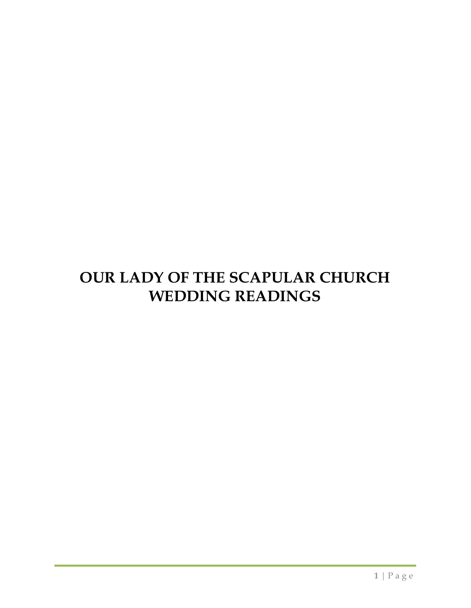# **OUR LADY OF THE SCAPULAR CHURCH WEDDING READINGS**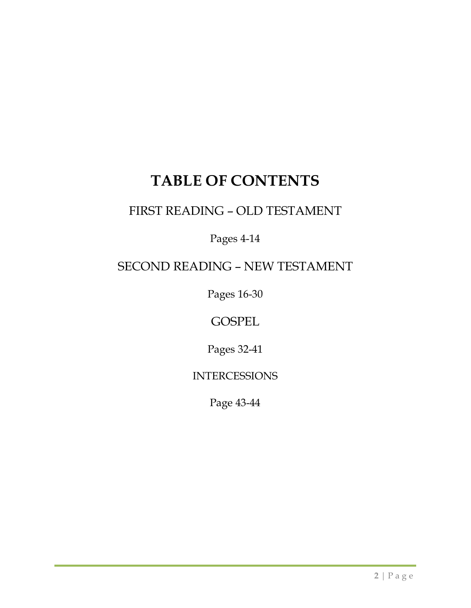## **TABLE OF CONTENTS**

## FIRST READING – OLD TESTAMENT

Pages 4-14

## SECOND READING – NEW TESTAMENT

Pages 16-30

**GOSPEL** 

Pages 32-41

INTERCESSIONS

Page 43-44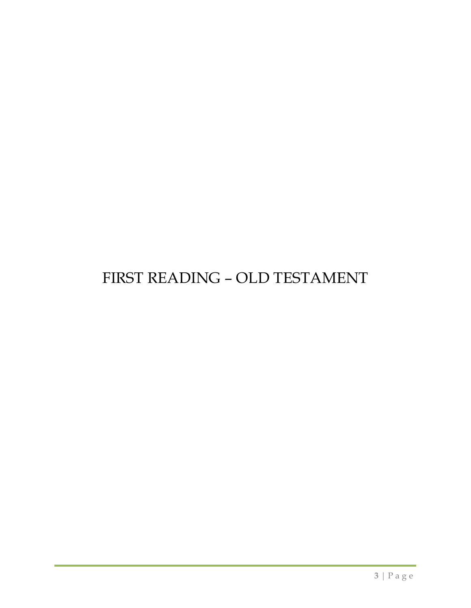## FIRST READING – OLD TESTAMENT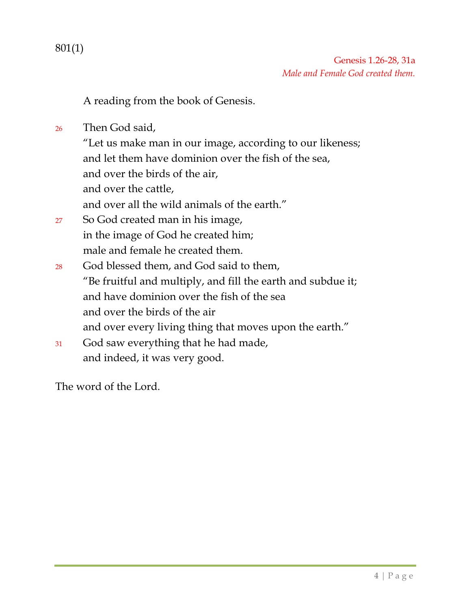801(1)

A reading from the book of Genesis.

<sup>26</sup> Then God said,

"Let us make man in our image, according to our likeness; and let them have dominion over the fish of the sea, and over the birds of the air, and over the cattle, and over all the wild animals of the earth."

- <sup>27</sup> So God created man in his image, in the image of God he created him; male and female he created them.
- <sup>28</sup> God blessed them, and God said to them, "Be fruitful and multiply, and fill the earth and subdue it; and have dominion over the fish of the sea and over the birds of the air and over every living thing that moves upon the earth."
- <sup>31</sup> God saw everything that he had made, and indeed, it was very good.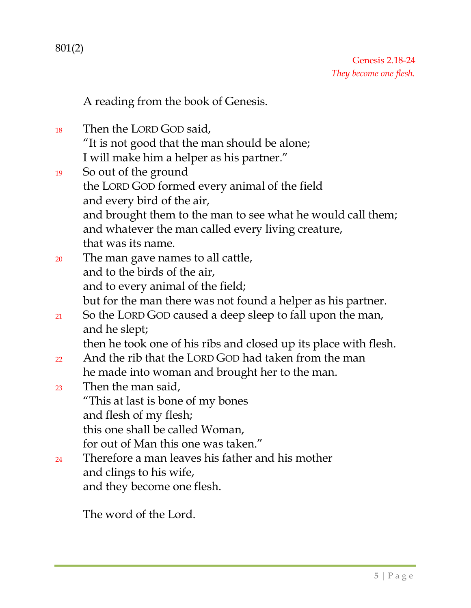801(2)

A reading from the book of Genesis.

- <sup>18</sup> Then the LORD GOD said, "It is not good that the man should be alone; I will make him a helper as his partner."
- <sup>19</sup> So out of the ground the LORD GOD formed every animal of the field and every bird of the air, and brought them to the man to see what he would call them; and whatever the man called every living creature, that was its name.
- <sup>20</sup> The man gave names to all cattle, and to the birds of the air, and to every animal of the field; but for the man there was not found a helper as his partner.
- 21 So the LORD GOD caused a deep sleep to fall upon the man, and he slept;

then he took one of his ribs and closed up its place with flesh.

- 22 And the rib that the LORD GOD had taken from the man he made into woman and brought her to the man.
- <sup>23</sup> Then the man said, "This at last is bone of my bones and flesh of my flesh; this one shall be called Woman, for out of Man this one was taken."
- 24 Therefore a man leaves his father and his mother and clings to his wife, and they become one flesh.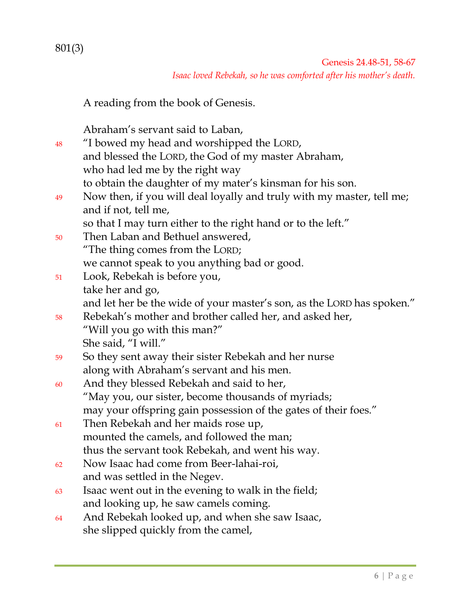801(3)

Genesis 24.48-51, 58-67 *Isaac loved Rebekah, so he was comforted after his mother's death.*

A reading from the book of Genesis.

Abraham's servant said to Laban,

<sup>48</sup> "I bowed my head and worshipped the LORD, and blessed the LORD, the God of my master Abraham, who had led me by the right way to obtain the daughter of my mater's kinsman for his son. <sup>49</sup> Now then, if you will deal loyally and truly with my master, tell me; and if not, tell me, so that I may turn either to the right hand or to the left." <sup>50</sup> Then Laban and Bethuel answered, "The thing comes from the LORD; we cannot speak to you anything bad or good. <sup>51</sup> Look, Rebekah is before you, take her and go, and let her be the wide of your master's son, as the LORD has spoken." <sup>58</sup> Rebekah's mother and brother called her, and asked her, "Will you go with this man?" She said, "I will." <sup>59</sup> So they sent away their sister Rebekah and her nurse along with Abraham's servant and his men. <sup>60</sup> And they blessed Rebekah and said to her, "May you, our sister, become thousands of myriads; may your offspring gain possession of the gates of their foes." <sup>61</sup> Then Rebekah and her maids rose up, mounted the camels, and followed the man; thus the servant took Rebekah, and went his way. <sup>62</sup> Now Isaac had come from Beer-lahai-roi, and was settled in the Negev.

- $63$  Isaac went out in the evening to walk in the field; and looking up, he saw camels coming.
- <sup>64</sup> And Rebekah looked up, and when she saw Isaac, she slipped quickly from the camel,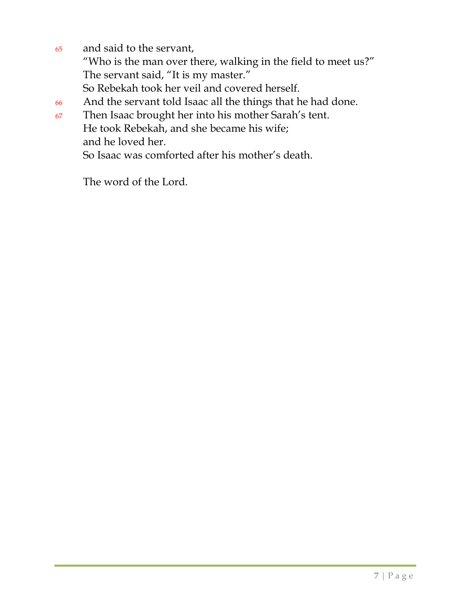- <sup>65</sup> and said to the servant, "Who is the man over there, walking in the field to meet us?" The servant said, "It is my master." So Rebekah took her veil and covered herself.
- <sup>66</sup> And the servant told Isaac all the things that he had done.
- <sup>67</sup> Then Isaac brought her into his mother Sarah's tent. He took Rebekah, and she became his wife; and he loved her.

So Isaac was comforted after his mother's death.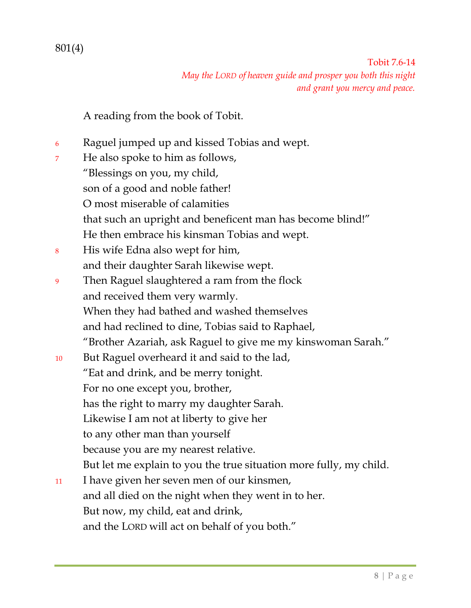801(4)

Tobit 7.6-14 *May the LORD of heaven guide and prosper you both this night and grant you mercy and peace.*

A reading from the book of Tobit.

- <sup>6</sup> Raguel jumped up and kissed Tobias and wept.
- <sup>7</sup> He also spoke to him as follows, "Blessings on you, my child, son of a good and noble father! O most miserable of calamities that such an upright and beneficent man has become blind!" He then embrace his kinsman Tobias and wept. <sup>8</sup> His wife Edna also wept for him, and their daughter Sarah likewise wept. <sup>9</sup> Then Raguel slaughtered a ram from the flock and received them very warmly. When they had bathed and washed themselves and had reclined to dine, Tobias said to Raphael, "Brother Azariah, ask Raguel to give me my kinswoman Sarah." <sup>10</sup> But Raguel overheard it and said to the lad, "Eat and drink, and be merry tonight. For no one except you, brother, has the right to marry my daughter Sarah. Likewise I am not at liberty to give her to any other man than yourself because you are my nearest relative. But let me explain to you the true situation more fully, my child. <sup>11</sup> I have given her seven men of our kinsmen, and all died on the night when they went in to her. But now, my child, eat and drink, and the LORD will act on behalf of you both."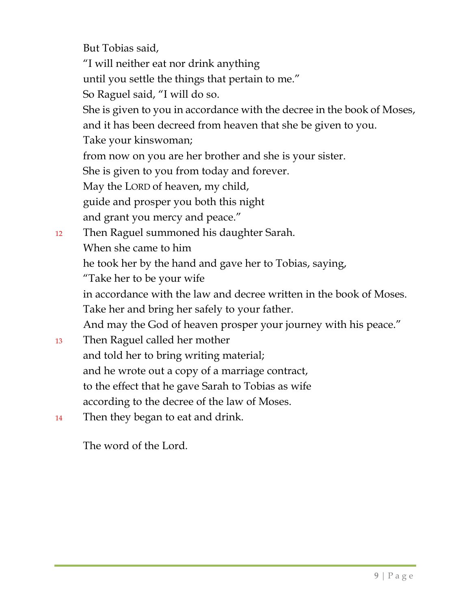But Tobias said, "I will neither eat nor drink anything until you settle the things that pertain to me." So Raguel said, "I will do so. She is given to you in accordance with the decree in the book of Moses, and it has been decreed from heaven that she be given to you. Take your kinswoman; from now on you are her brother and she is your sister. She is given to you from today and forever. May the LORD of heaven, my child, guide and prosper you both this night and grant you mercy and peace." <sup>12</sup> Then Raguel summoned his daughter Sarah. When she came to him he took her by the hand and gave her to Tobias, saying, "Take her to be your wife in accordance with the law and decree written in the book of Moses. Take her and bring her safely to your father. And may the God of heaven prosper your journey with his peace." <sup>13</sup> Then Raguel called her mother and told her to bring writing material; and he wrote out a copy of a marriage contract, to the effect that he gave Sarah to Tobias as wife according to the decree of the law of Moses.

<sup>14</sup> Then they began to eat and drink.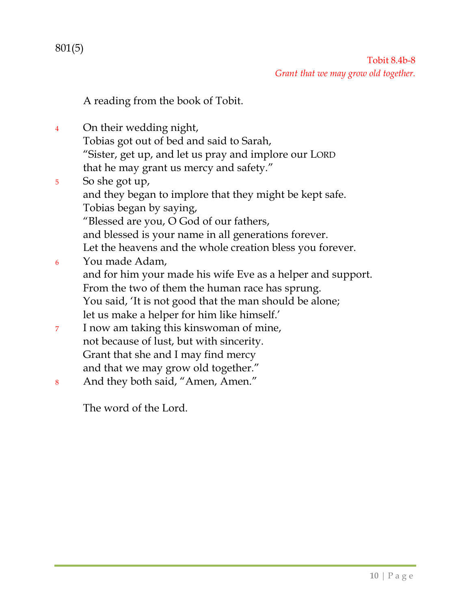801(5)

A reading from the book of Tobit.

- <sup>4</sup> On their wedding night, Tobias got out of bed and said to Sarah, "Sister, get up, and let us pray and implore our LORD that he may grant us mercy and safety." <sup>5</sup> So she got up, and they began to implore that they might be kept safe. Tobias began by saying, "Blessed are you, O God of our fathers, and blessed is your name in all generations forever. Let the heavens and the whole creation bless you forever. <sup>6</sup> You made Adam, and for him your made his wife Eve as a helper and support. From the two of them the human race has sprung. You said, 'It is not good that the man should be alone; let us make a helper for him like himself.' <sup>7</sup> I now am taking this kinswoman of mine, not because of lust, but with sincerity. Grant that she and I may find mercy and that we may grow old together."
- <sup>8</sup> And they both said, "Amen, Amen."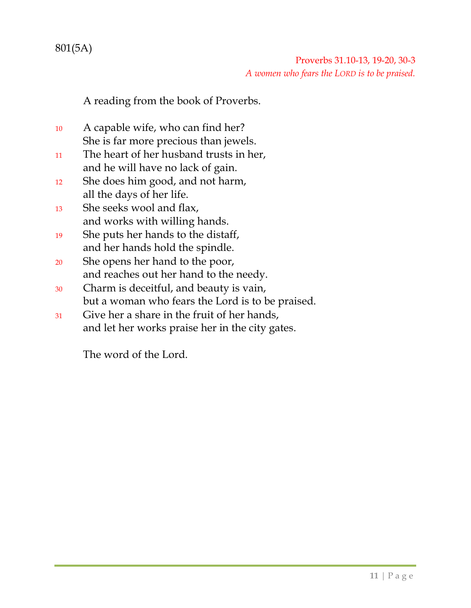**11** | Page

### 801(5A)

Proverbs 31.10-13, 19-20, 30-3 *A women who fears the LORD is to be praised.*

A reading from the book of Proverbs.

- <sup>10</sup> A capable wife, who can find her? She is far more precious than jewels.
- <sup>11</sup> The heart of her husband trusts in her, and he will have no lack of gain.
- <sup>12</sup> She does him good, and not harm, all the days of her life.
- <sup>13</sup> She seeks wool and flax, and works with willing hands.
- <sup>19</sup> She puts her hands to the distaff, and her hands hold the spindle.
- <sup>20</sup> She opens her hand to the poor, and reaches out her hand to the needy.
- <sup>30</sup> Charm is deceitful, and beauty is vain, but a woman who fears the Lord is to be praised.
- <sup>31</sup> Give her a share in the fruit of her hands, and let her works praise her in the city gates.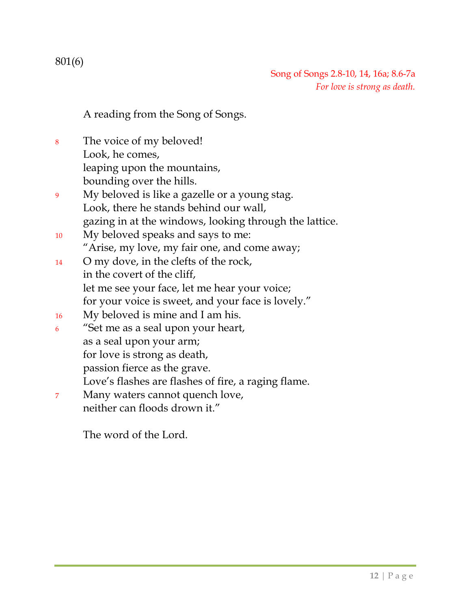801(6)

Song of Songs 2.8-10, 14, 16a; 8.6-7a *For love is strong as death.*

A reading from the Song of Songs.

- <sup>8</sup> The voice of my beloved! Look, he comes, leaping upon the mountains, bounding over the hills.
- <sup>9</sup> My beloved is like a gazelle or a young stag. Look, there he stands behind our wall, gazing in at the windows, looking through the lattice.
- <sup>10</sup> My beloved speaks and says to me: "Arise, my love, my fair one, and come away;
- <sup>14</sup> O my dove, in the clefts of the rock, in the covert of the cliff, let me see your face, let me hear your voice; for your voice is sweet, and your face is lovely."
- <sup>16</sup> My beloved is mine and I am his.
- <sup>6</sup> "Set me as a seal upon your heart, as a seal upon your arm; for love is strong as death, passion fierce as the grave. Love's flashes are flashes of fire, a raging flame.
- <sup>7</sup> Many waters cannot quench love,
	- neither can floods drown it."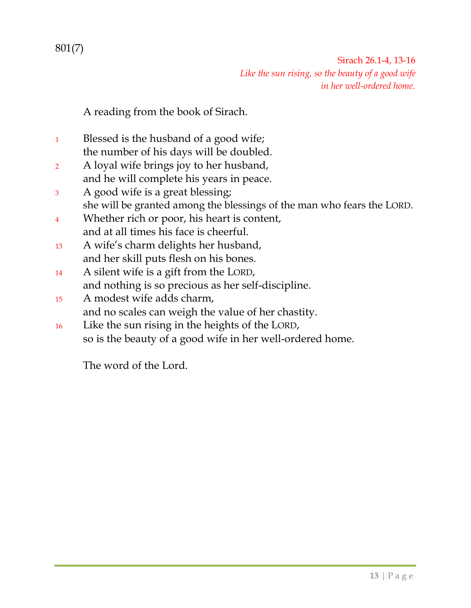### 801(7)

Sirach 26.1-4, 13-16 *Like the sun rising, so the beauty of a good wife in her well-ordered home.*

A reading from the book of Sirach.

- <sup>1</sup> Blessed is the husband of a good wife; the number of his days will be doubled.
- <sup>2</sup> A loyal wife brings joy to her husband, and he will complete his years in peace.
- <sup>3</sup> A good wife is a great blessing; she will be granted among the blessings of the man who fears the LORD.
- <sup>4</sup> Whether rich or poor, his heart is content, and at all times his face is cheerful.
- <sup>13</sup> A wife's charm delights her husband, and her skill puts flesh on his bones.
- <sup>14</sup> A silent wife is a gift from the LORD, and nothing is so precious as her self-discipline.
- <sup>15</sup> A modest wife adds charm, and no scales can weigh the value of her chastity.
- <sup>16</sup> Like the sun rising in the heights of the LORD, so is the beauty of a good wife in her well-ordered home.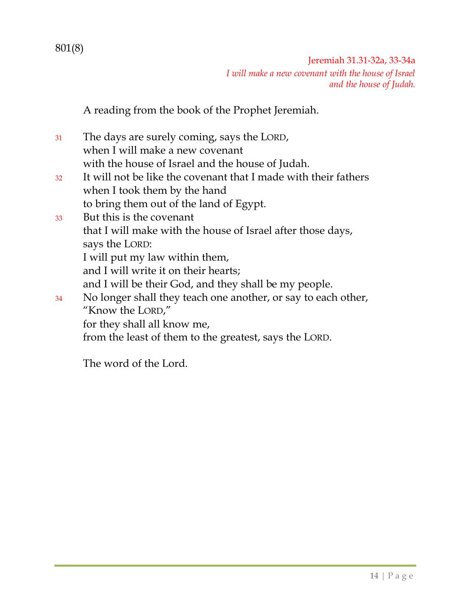Jeremiah 31.31-32a, 33-34a *I will make a new covenant with the house of Israel and the house of Judah.*

A reading from the book of the Prophet Jeremiah.

<sup>31</sup> The days are surely coming, says the LORD, when I will make a new covenant with the house of Israel and the house of Judah. <sup>32</sup> It will not be like the covenant that I made with their fathers when I took them by the hand to bring them out of the land of Egypt. <sup>33</sup> But this is the covenant that I will make with the house of Israel after those days, says the LORD: I will put my law within them, and I will write it on their hearts; and I will be their God, and they shall be my people. <sup>34</sup> No longer shall they teach one another, or say to each other, "Know the LORD," for they shall all know me, from the least of them to the greatest, says the LORD.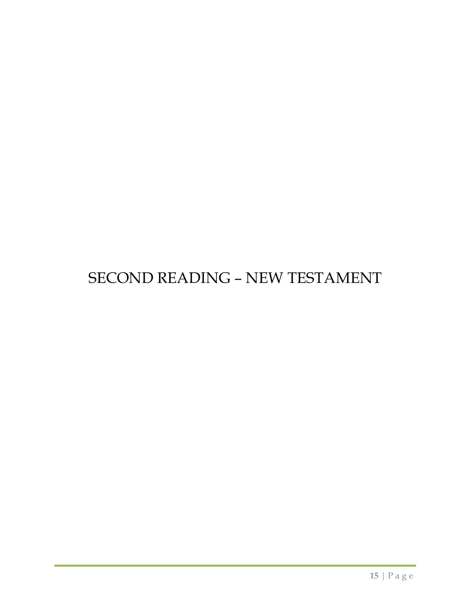# SECOND READING – NEW TESTAMENT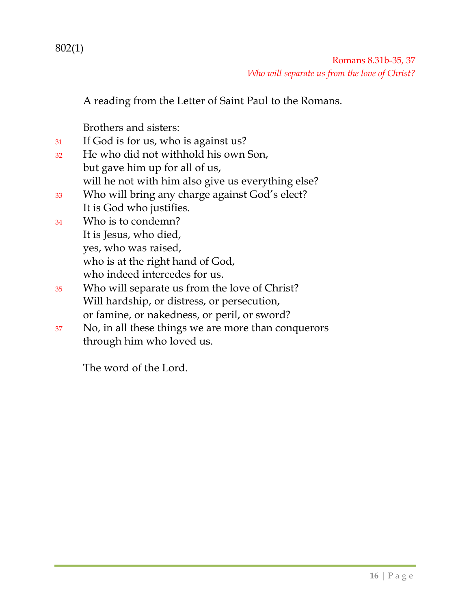802(1)

 Romans 8.31b-35, 37 *Who will separate us from the love of Christ?*

A reading from the Letter of Saint Paul to the Romans.

Brothers and sisters:

- <sup>31</sup> If God is for us, who is against us?
- <sup>32</sup> He who did not withhold his own Son, but gave him up for all of us, will he not with him also give us everything else?
- <sup>33</sup> Who will bring any charge against God's elect?
- It is God who justifies.
- <sup>34</sup> Who is to condemn? It is Jesus, who died, yes, who was raised, who is at the right hand of God, who indeed intercedes for us.
- <sup>35</sup> Who will separate us from the love of Christ? Will hardship, or distress, or persecution, or famine, or nakedness, or peril, or sword?
- <sup>37</sup> No, in all these things we are more than conquerors through him who loved us.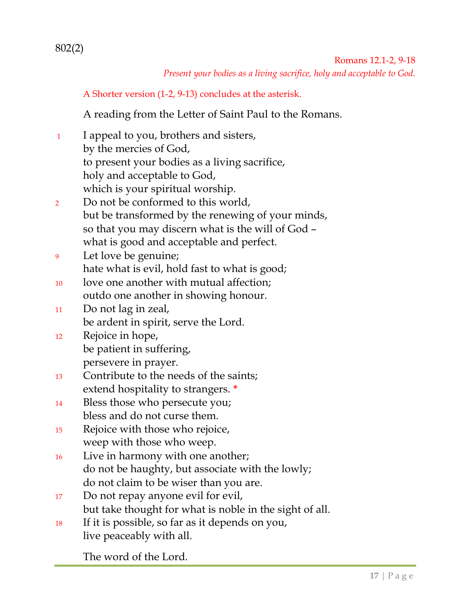802(2)

 Romans 12.1-2, 9-18 *Present your bodies as a living sacrifice, holy and acceptable to God.*

A Shorter version (1-2, 9-13) concludes at the asterisk.

A reading from the Letter of Saint Paul to the Romans.

- <sup>1</sup> I appeal to you, brothers and sisters, by the mercies of God, to present your bodies as a living sacrifice, holy and acceptable to God, which is your spiritual worship.
- <sup>2</sup> Do not be conformed to this world, but be transformed by the renewing of your minds, so that you may discern what is the will of God – what is good and acceptable and perfect.
- <sup>9</sup> Let love be genuine; hate what is evil, hold fast to what is good;
- <sup>10</sup> love one another with mutual affection; outdo one another in showing honour.
- <sup>11</sup> Do not lag in zeal, be ardent in spirit, serve the Lord.
- <sup>12</sup> Rejoice in hope, be patient in suffering, persevere in prayer.
- <sup>13</sup> Contribute to the needs of the saints; extend hospitality to strangers. **\***
- <sup>14</sup> Bless those who persecute you; bless and do not curse them.
- <sup>15</sup> Rejoice with those who rejoice, weep with those who weep.
- <sup>16</sup> Live in harmony with one another; do not be haughty, but associate with the lowly; do not claim to be wiser than you are.
- <sup>17</sup> Do not repay anyone evil for evil, but take thought for what is noble in the sight of all.
- <sup>18</sup> If it is possible, so far as it depends on you, live peaceably with all.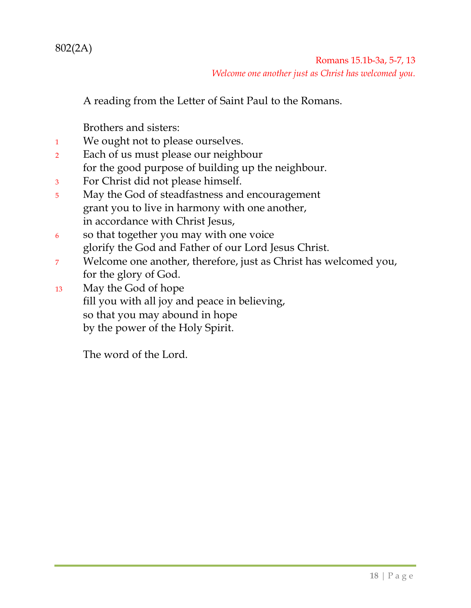802(2A)

 Romans 15.1b-3a, 5-7, 13 *Welcome one another just as Christ has welcomed you.*

A reading from the Letter of Saint Paul to the Romans.

Brothers and sisters:

- <sup>1</sup> We ought not to please ourselves.
- <sup>2</sup> Each of us must please our neighbour for the good purpose of building up the neighbour.
- <sup>3</sup> For Christ did not please himself.
- <sup>5</sup> May the God of steadfastness and encouragement grant you to live in harmony with one another, in accordance with Christ Jesus,
- <sup>6</sup> so that together you may with one voice glorify the God and Father of our Lord Jesus Christ.
- <sup>7</sup> Welcome one another, therefore, just as Christ has welcomed you, for the glory of God.
- <sup>13</sup> May the God of hope fill you with all joy and peace in believing, so that you may abound in hope by the power of the Holy Spirit.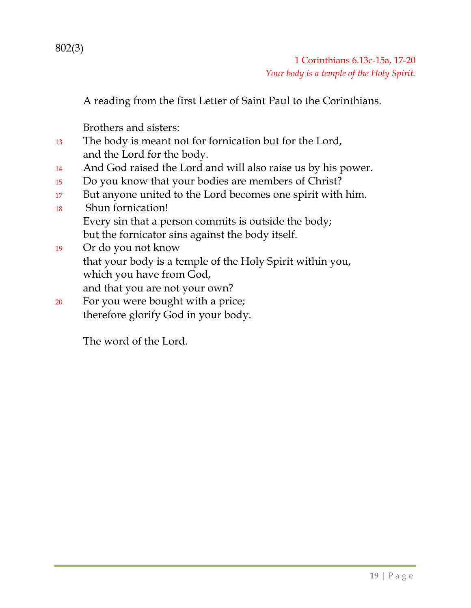802(3)

A reading from the first Letter of Saint Paul to the Corinthians.

Brothers and sisters:

- <sup>13</sup> The body is meant not for fornication but for the Lord, and the Lord for the body.
- <sup>14</sup> And God raised the Lord and will also raise us by his power.
- <sup>15</sup> Do you know that your bodies are members of Christ?
- 17 But anyone united to the Lord becomes one spirit with him.
- <sup>18</sup> Shun fornication! Every sin that a person commits is outside the body; but the fornicator sins against the body itself.
- <sup>19</sup> Or do you not know that your body is a temple of the Holy Spirit within you, which you have from God, and that you are not your own?
- <sup>20</sup> For you were bought with a price; therefore glorify God in your body.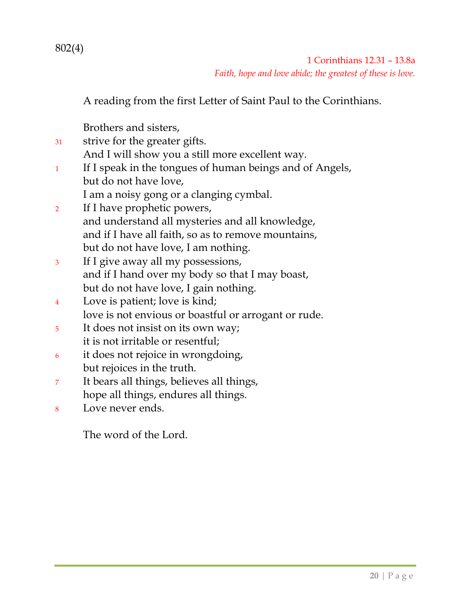802(4)

 1 Corinthians 12.31 – 13.8a *Faith, hope and love abide; the greatest of these is love.*

A reading from the first Letter of Saint Paul to the Corinthians.

Brothers and sisters,

- <sup>31</sup> strive for the greater gifts. And I will show you a still more excellent way. <sup>1</sup> If I speak in the tongues of human beings and of Angels, but do not have love, I am a noisy gong or a clanging cymbal. <sup>2</sup> If I have prophetic powers, and understand all mysteries and all knowledge,
	- and if I have all faith, so as to remove mountains, but do not have love, I am nothing.
- <sup>3</sup> If I give away all my possessions, and if I hand over my body so that I may boast, but do not have love, I gain nothing.
- <sup>4</sup> Love is patient; love is kind; love is not envious or boastful or arrogant or rude.
- <sup>5</sup> It does not insist on its own way; it is not irritable or resentful;
- <sup>6</sup> it does not rejoice in wrongdoing, but rejoices in the truth.
- <sup>7</sup> It bears all things, believes all things, hope all things, endures all things.
- <sup>8</sup> Love never ends.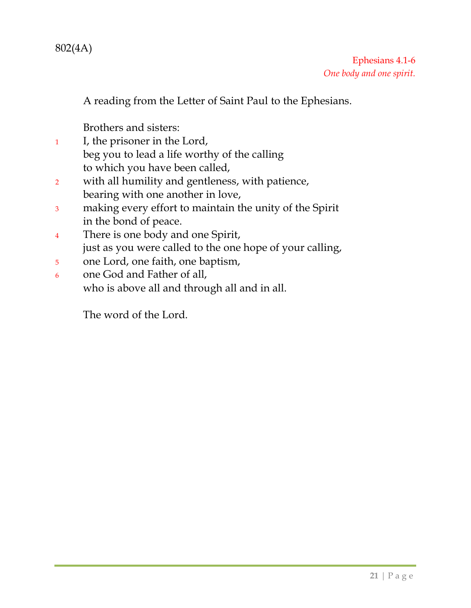802(4A)

A reading from the Letter of Saint Paul to the Ephesians.

Brothers and sisters:

- <sup>1</sup> I, the prisoner in the Lord, beg you to lead a life worthy of the calling to which you have been called,
- <sup>2</sup> with all humility and gentleness, with patience, bearing with one another in love,
- <sup>3</sup> making every effort to maintain the unity of the Spirit in the bond of peace.
- <sup>4</sup> There is one body and one Spirit, just as you were called to the one hope of your calling,
- <sup>5</sup> one Lord, one faith, one baptism,
- <sup>6</sup> one God and Father of all, who is above all and through all and in all.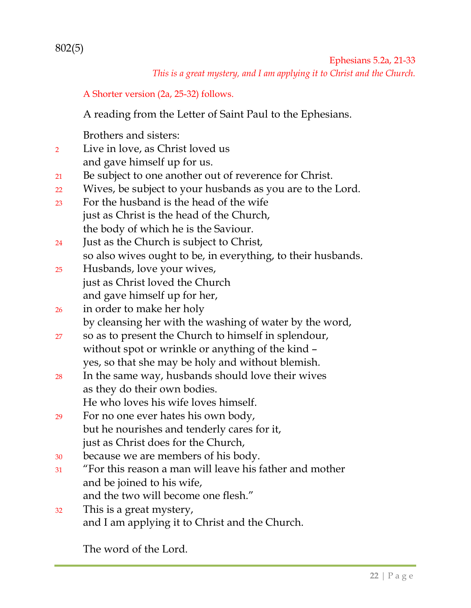802(5)

*This is a great mystery, and I am applying it to Christ and the Church.*

A Shorter version (2a, 25-32) follows.

A reading from the Letter of Saint Paul to the Ephesians.

Brothers and sisters:

- <sup>2</sup> Live in love, as Christ loved us and gave himself up for us.
- <sup>21</sup> Be subject to one another out of reverence for Christ.
- <sup>22</sup> Wives, be subject to your husbands as you are to the Lord.
- <sup>23</sup> For the husband is the head of the wife just as Christ is the head of the Church, the body of which he is the Saviour.
- <sup>24</sup> Just as the Church is subject to Christ, so also wives ought to be, in everything, to their husbands.
- <sup>25</sup> Husbands, love your wives, just as Christ loved the Church and gave himself up for her,

<sup>26</sup> in order to make her holy by cleansing her with the washing of water by the word,

- <sup>27</sup> so as to present the Church to himself in splendour, without spot or wrinkle or anything of the kind – yes, so that she may be holy and without blemish.
- <sup>28</sup> In the same way, husbands should love their wives as they do their own bodies. He who loves his wife loves himself.
- <sup>29</sup> For no one ever hates his own body, but he nourishes and tenderly cares for it, just as Christ does for the Church,
- <sup>30</sup> because we are members of his body.
- <sup>31</sup> "For this reason a man will leave his father and mother and be joined to his wife, and the two will become one flesh."
- <sup>32</sup> This is a great mystery, and I am applying it to Christ and the Church.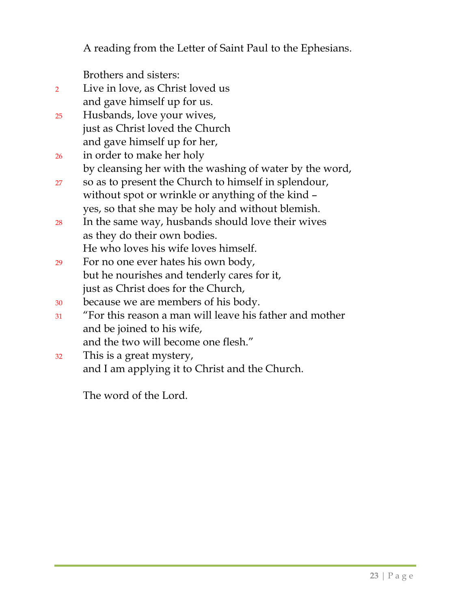A reading from the Letter of Saint Paul to the Ephesians.

Brothers and sisters:

- <sup>2</sup> Live in love, as Christ loved us and gave himself up for us.
- <sup>25</sup> Husbands, love your wives, just as Christ loved the Church and gave himself up for her,
- <sup>26</sup> in order to make her holy by cleansing her with the washing of water by the word,
- <sup>27</sup> so as to present the Church to himself in splendour, without spot or wrinkle or anything of the kind – yes, so that she may be holy and without blemish.
- <sup>28</sup> In the same way, husbands should love their wives as they do their own bodies. He who loves his wife loves himself.
- <sup>29</sup> For no one ever hates his own body, but he nourishes and tenderly cares for it, just as Christ does for the Church,
- <sup>30</sup> because we are members of his body.
- <sup>31</sup> "For this reason a man will leave his father and mother and be joined to his wife, and the two will become one flesh."
- <sup>32</sup> This is a great mystery, and I am applying it to Christ and the Church.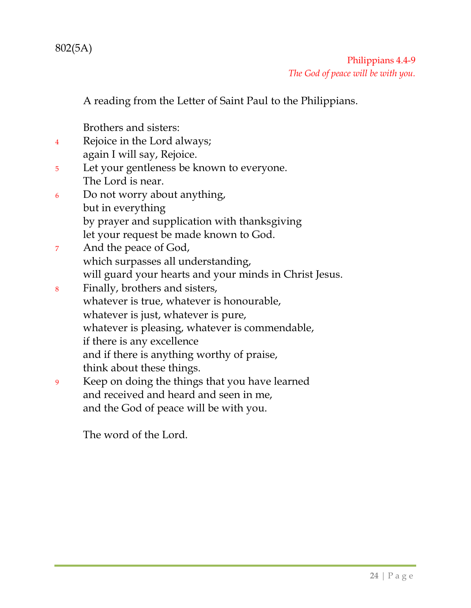802(5A)

 Philippians 4.4-9 *The God of peace will be with you.*

A reading from the Letter of Saint Paul to the Philippians.

Brothers and sisters:

- <sup>4</sup> Rejoice in the Lord always; again I will say, Rejoice.
- <sup>5</sup> Let your gentleness be known to everyone. The Lord is near.
- <sup>6</sup> Do not worry about anything, but in everything by prayer and supplication with thanksgiving let your request be made known to God.
- <sup>7</sup> And the peace of God, which surpasses all understanding, will guard your hearts and your minds in Christ Jesus.
- <sup>8</sup> Finally, brothers and sisters, whatever is true, whatever is honourable, whatever is just, whatever is pure, whatever is pleasing, whatever is commendable, if there is any excellence and if there is anything worthy of praise, think about these things.
- <sup>9</sup> Keep on doing the things that you have learned and received and heard and seen in me, and the God of peace will be with you.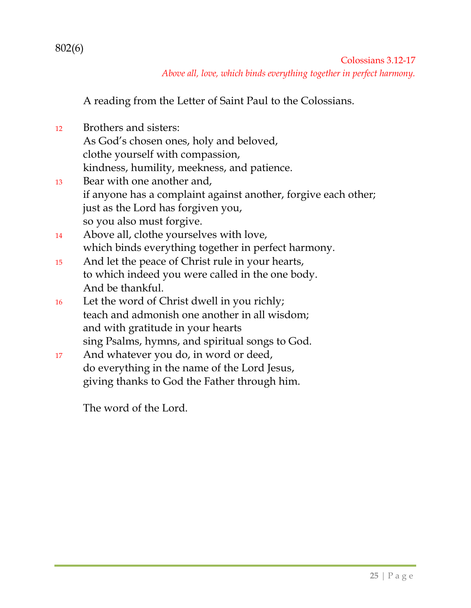802(6)

Colossians 3.12-17 *Above all, love, which binds everything together in perfect harmony.*

A reading from the Letter of Saint Paul to the Colossians.

<sup>12</sup> Brothers and sisters: As God's chosen ones, holy and beloved, clothe yourself with compassion, kindness, humility, meekness, and patience. <sup>13</sup> Bear with one another and, if anyone has a complaint against another, forgive each other; just as the Lord has forgiven you, so you also must forgive. <sup>14</sup> Above all, clothe yourselves with love, which binds everything together in perfect harmony. <sup>15</sup> And let the peace of Christ rule in your hearts, to which indeed you were called in the one body. And be thankful. <sup>16</sup> Let the word of Christ dwell in you richly;

- teach and admonish one another in all wisdom; and with gratitude in your hearts sing Psalms, hymns, and spiritual songs to God.
- <sup>17</sup> And whatever you do, in word or deed, do everything in the name of the Lord Jesus, giving thanks to God the Father through him.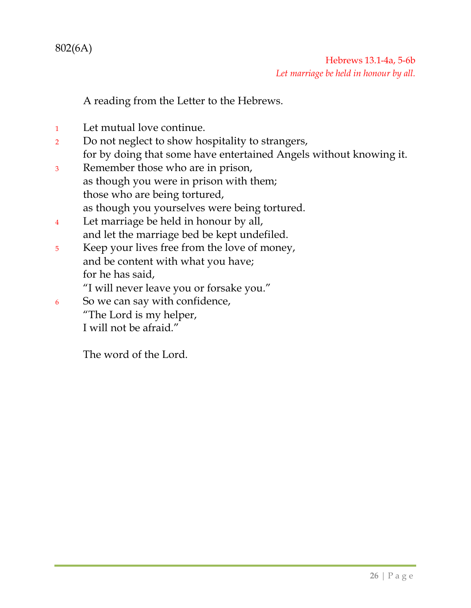802(6A)

### Hebrews 13.1-4a, 5-6b *Let marriage be held in honour by all.*

A reading from the Letter to the Hebrews.

- <sup>1</sup> Let mutual love continue.
- <sup>2</sup> Do not neglect to show hospitality to strangers, for by doing that some have entertained Angels without knowing it.
- <sup>3</sup> Remember those who are in prison, as though you were in prison with them; those who are being tortured, as though you yourselves were being tortured.
- <sup>4</sup> Let marriage be held in honour by all, and let the marriage bed be kept undefiled.
- <sup>5</sup> Keep your lives free from the love of money, and be content with what you have; for he has said,

"I will never leave you or forsake you."

- <sup>6</sup> So we can say with confidence,
	- "The Lord is my helper, I will not be afraid."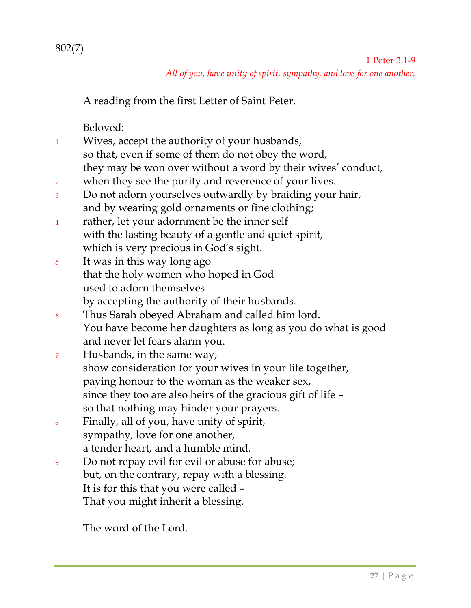A reading from the first Letter of Saint Peter.

Beloved:

- <sup>1</sup> Wives, accept the authority of your husbands, so that, even if some of them do not obey the word, they may be won over without a word by their wives' conduct,
- <sup>2</sup> when they see the purity and reverence of your lives.
- <sup>3</sup> Do not adorn yourselves outwardly by braiding your hair, and by wearing gold ornaments or fine clothing;
- <sup>4</sup> rather, let your adornment be the inner self with the lasting beauty of a gentle and quiet spirit, which is very precious in God's sight.
- <sup>5</sup> It was in this way long ago that the holy women who hoped in God used to adorn themselves by accepting the authority of their husbands.
- <sup>6</sup> Thus Sarah obeyed Abraham and called him lord. You have become her daughters as long as you do what is good and never let fears alarm you.
- <sup>7</sup> Husbands, in the same way, show consideration for your wives in your life together, paying honour to the woman as the weaker sex, since they too are also heirs of the gracious gift of life – so that nothing may hinder your prayers.
- <sup>8</sup> Finally, all of you, have unity of spirit, sympathy, love for one another, a tender heart, and a humble mind.
- <sup>9</sup> Do not repay evil for evil or abuse for abuse; but, on the contrary, repay with a blessing. It is for this that you were called – That you might inherit a blessing.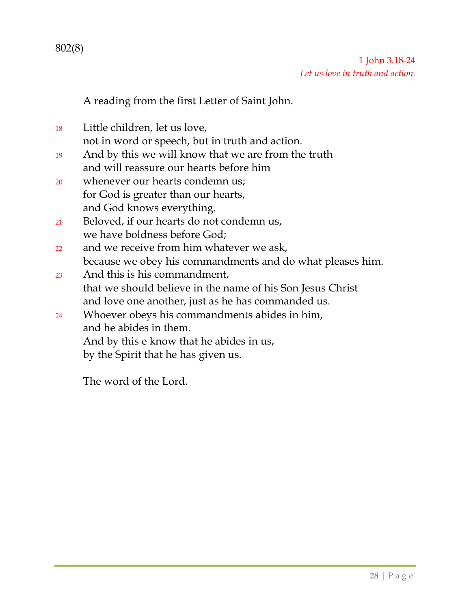A reading from the first Letter of Saint John.

<sup>18</sup> Little children, let us love, not in word or speech, but in truth and action.

- <sup>19</sup> And by this we will know that we are from the truth and will reassure our hearts before him
- <sup>20</sup> whenever our hearts condemn us; for God is greater than our hearts, and God knows everything.
- <sup>21</sup> Beloved, if our hearts do not condemn us, we have boldness before God;
- 22 and we receive from him whatever we ask, because we obey his commandments and do what pleases him.
- <sup>23</sup> And this is his commandment, that we should believe in the name of his Son Jesus Christ and love one another, just as he has commanded us.
- <sup>24</sup> Whoever obeys his commandments abides in him, and he abides in them. And by this e know that he abides in us, by the Spirit that he has given us.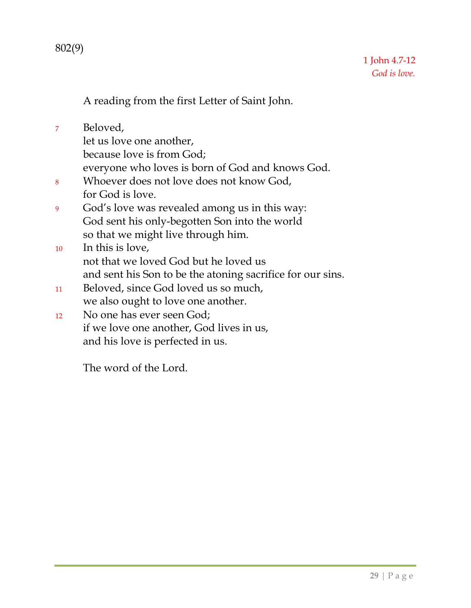802(9)

A reading from the first Letter of Saint John.

<sup>7</sup> Beloved, let us love one another, because love is from God; everyone who loves is born of God and knows God. <sup>8</sup> Whoever does not love does not know God, for God is love. <sup>9</sup> God's love was revealed among us in this way: God sent his only-begotten Son into the world so that we might live through him. <sup>10</sup> In this is love, not that we loved God but he loved us and sent his Son to be the atoning sacrifice for our sins. <sup>11</sup> Beloved, since God loved us so much, we also ought to love one another. <sup>12</sup> No one has ever seen God; if we love one another, God lives in us, and his love is perfected in us.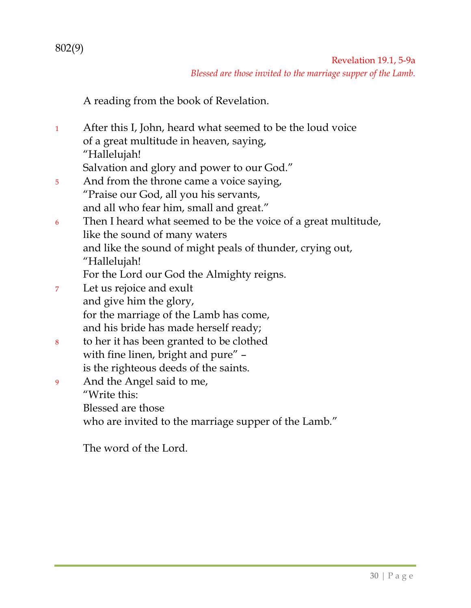Revelation 19.1, 5-9a *Blessed are those invited to the marriage supper of the Lamb.*

A reading from the book of Revelation.

<sup>1</sup> After this I, John, heard what seemed to be the loud voice of a great multitude in heaven, saying, "Hallelujah!

Salvation and glory and power to our God."

- 5 And from the throne came a voice saying, "Praise our God, all you his servants, and all who fear him, small and great."
- <sup>6</sup> Then I heard what seemed to be the voice of a great multitude, like the sound of many waters and like the sound of might peals of thunder, crying out, "Hallelujah!
	- For the Lord our God the Almighty reigns.
- <sup>7</sup> Let us rejoice and exult and give him the glory, for the marriage of the Lamb has come, and his bride has made herself ready;
- <sup>8</sup> to her it has been granted to be clothed with fine linen, bright and pure" is the righteous deeds of the saints.
- <sup>9</sup> And the Angel said to me, "Write this: Blessed are those who are invited to the marriage supper of the Lamb."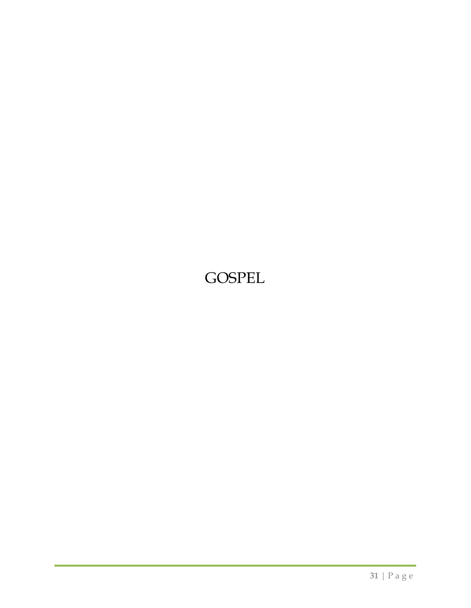# GOSPEL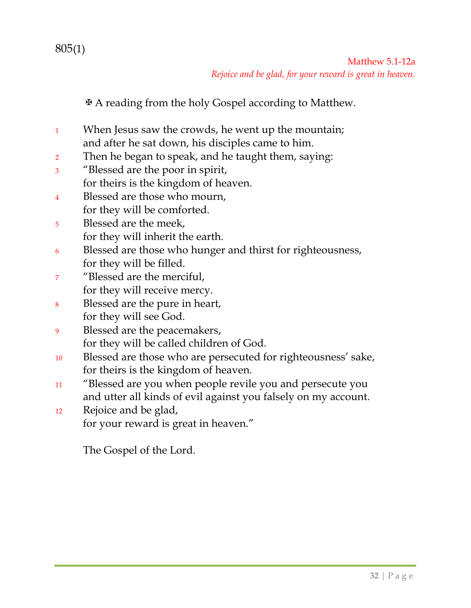✠A reading from the holy Gospel according to Matthew.

- <sup>1</sup> When Jesus saw the crowds, he went up the mountain; and after he sat down, his disciples came to him.
- <sup>2</sup> Then he began to speak, and he taught them, saying:
- <sup>3</sup> "Blessed are the poor in spirit, for theirs is the kingdom of heaven.
- <sup>4</sup> Blessed are those who mourn,
- for they will be comforted.
- <sup>5</sup> Blessed are the meek, for they will inherit the earth.
- <sup>6</sup> Blessed are those who hunger and thirst for righteousness, for they will be filled.
- <sup>7</sup> "Blessed are the merciful, for they will receive mercy.
- <sup>8</sup> Blessed are the pure in heart, for they will see God.
- <sup>9</sup> Blessed are the peacemakers, for they will be called children of God.
- <sup>10</sup> Blessed are those who are persecuted for righteousness' sake, for theirs is the kingdom of heaven.
- <sup>11</sup> "Blessed are you when people revile you and persecute you and utter all kinds of evil against you falsely on my account.
- <sup>12</sup> Rejoice and be glad, for your reward is great in heaven."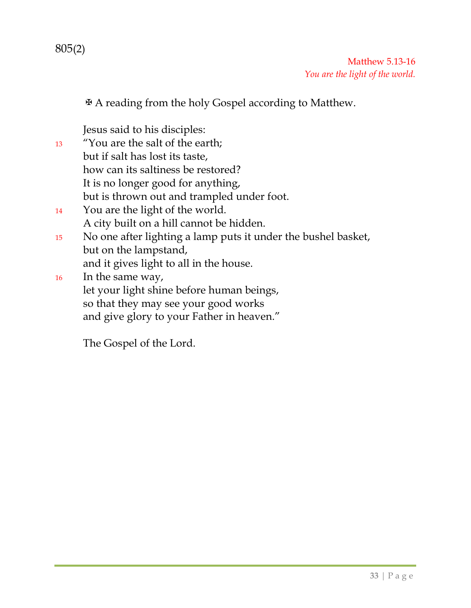Matthew 5.13-16 *You are the light of the world.*

✠A reading from the holy Gospel according to Matthew.

Jesus said to his disciples:

<sup>13</sup> "You are the salt of the earth; but if salt has lost its taste, how can its saltiness be restored? It is no longer good for anything, but is thrown out and trampled under foot. <sup>14</sup> You are the light of the world. A city built on a hill cannot be hidden. <sup>15</sup> No one after lighting a lamp puts it under the bushel basket, but on the lampstand, and it gives light to all in the house. <sup>16</sup> In the same way,

let your light shine before human beings, so that they may see your good works and give glory to your Father in heaven."

The Gospel of the Lord.

805(2)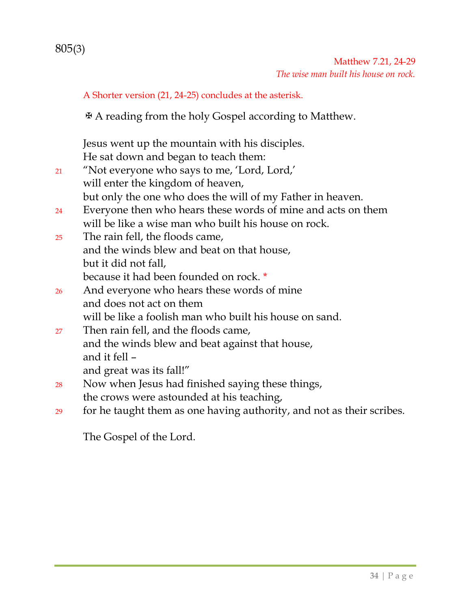A Shorter version (21, 24-25) concludes at the asterisk.

✠A reading from the holy Gospel according to Matthew.

Jesus went up the mountain with his disciples. He sat down and began to teach them:

- <sup>21</sup> "Not everyone who says to me, 'Lord, Lord,' will enter the kingdom of heaven, but only the one who does the will of my Father in heaven.
- <sup>24</sup> Everyone then who hears these words of mine and acts on them will be like a wise man who built his house on rock.
- <sup>25</sup> The rain fell, the floods came, and the winds blew and beat on that house, but it did not fall, because it had been founded on rock. \*
- <sup>26</sup> And everyone who hears these words of mine and does not act on them will be like a foolish man who built his house on sand.
- <sup>27</sup> Then rain fell, and the floods came, and the winds blew and beat against that house, and it fell – and great was its fall!"
- <sup>28</sup> Now when Jesus had finished saying these things, the crows were astounded at his teaching,
- <sup>29</sup> for he taught them as one having authority, and not as their scribes.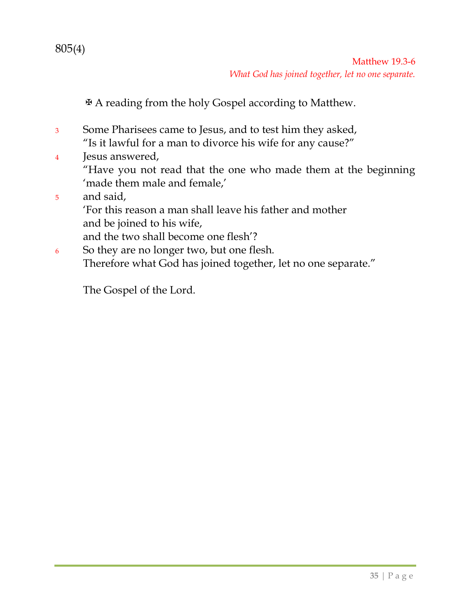805(4)

✠A reading from the holy Gospel according to Matthew.

- <sup>3</sup> Some Pharisees came to Jesus, and to test him they asked, "Is it lawful for a man to divorce his wife for any cause?"
- <sup>4</sup> Jesus answered, "Have you not read that the one who made them at the beginning 'made them male and female,'
- <sup>5</sup> and said, 'For this reason a man shall leave his father and mother and be joined to his wife, and the two shall become one flesh'?
- <sup>6</sup> So they are no longer two, but one flesh. Therefore what God has joined together, let no one separate."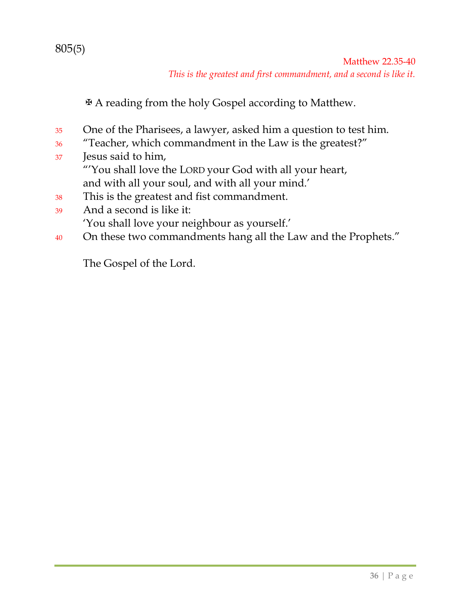### 805(5)

Matthew 22.35-40 *This is the greatest and first commandment, and a second is like it.*

✠A reading from the holy Gospel according to Matthew.

- <sup>35</sup> One of the Pharisees, a lawyer, asked him a question to test him.
- <sup>36</sup> "Teacher, which commandment in the Law is the greatest?"
- <sup>37</sup> Jesus said to him, "'You shall love the LORD your God with all your heart, and with all your soul, and with all your mind.'
- <sup>38</sup> This is the greatest and fist commandment.
- <sup>39</sup> And a second is like it: 'You shall love your neighbour as yourself.'
- 40 On these two commandments hang all the Law and the Prophets."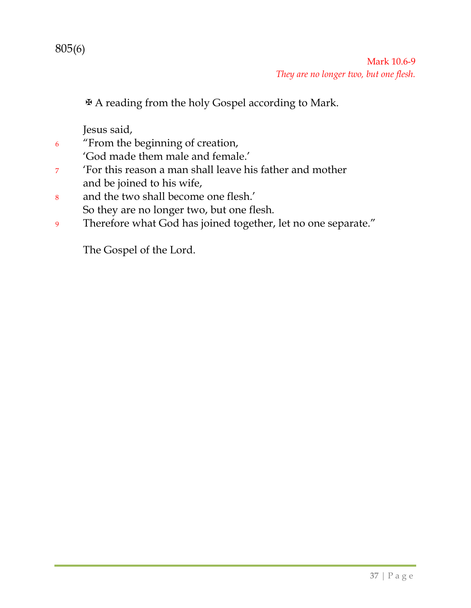

✠A reading from the holy Gospel according to Mark.

Jesus said,

<sup>6</sup> "From the beginning of creation,

'God made them male and female.'

- <sup>7</sup> 'For this reason a man shall leave his father and mother and be joined to his wife,
- <sup>8</sup> and the two shall become one flesh.' So they are no longer two, but one flesh.
- <sup>9</sup> Therefore what God has joined together, let no one separate."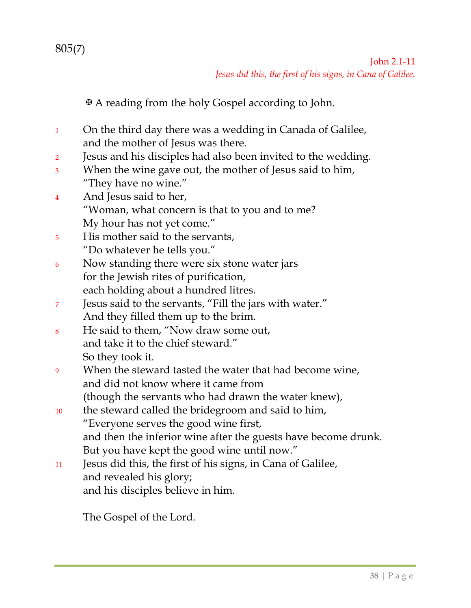✠A reading from the holy Gospel according to John.

- <sup>1</sup> On the third day there was a wedding in Canada of Galilee, and the mother of Jesus was there.
- <sup>2</sup> Jesus and his disciples had also been invited to the wedding.
- <sup>3</sup> When the wine gave out, the mother of Jesus said to him, "They have no wine."
- <sup>4</sup> And Jesus said to her, "Woman, what concern is that to you and to me? My hour has not yet come."
- <sup>5</sup> His mother said to the servants, "Do whatever he tells you."
- <sup>6</sup> Now standing there were six stone water jars for the Jewish rites of purification, each holding about a hundred litres.
- <sup>7</sup> Jesus said to the servants, "Fill the jars with water." And they filled them up to the brim.
- <sup>8</sup> He said to them, "Now draw some out, and take it to the chief steward." So they took it.
- <sup>9</sup> When the steward tasted the water that had become wine, and did not know where it came from (though the servants who had drawn the water knew),
- <sup>10</sup> the steward called the bridegroom and said to him, "Everyone serves the good wine first, and then the inferior wine after the guests have become drunk. But you have kept the good wine until now."
- <sup>11</sup> Jesus did this, the first of his signs, in Cana of Galilee, and revealed his glory; and his disciples believe in him.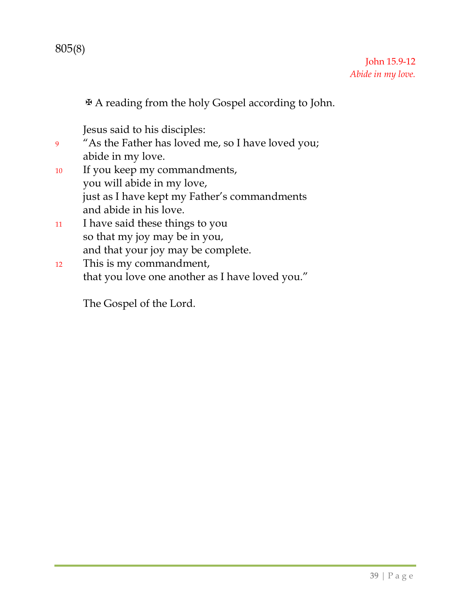✠A reading from the holy Gospel according to John.

Jesus said to his disciples:

<sup>9</sup> "As the Father has loved me, so I have loved you; abide in my love.

- <sup>10</sup> If you keep my commandments, you will abide in my love, just as I have kept my Father's commandments and abide in his love.
- <sup>11</sup> I have said these things to you so that my joy may be in you, and that your joy may be complete.
- <sup>12</sup> This is my commandment, that you love one another as I have loved you."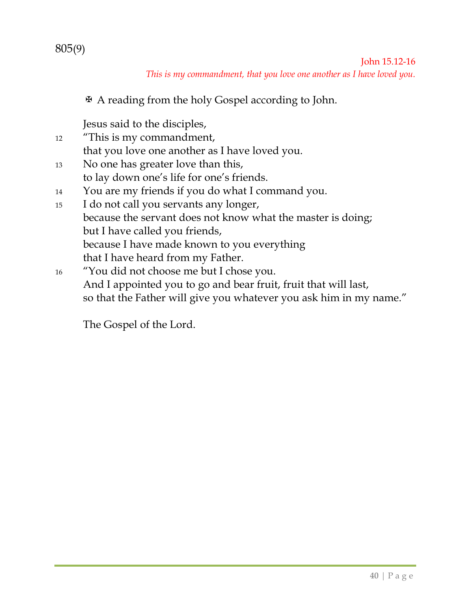### 805(9)

John 15.12-16 *This is my commandment, that you love one another as I have loved you.*

✠ A reading from the holy Gospel according to John.

Jesus said to the disciples,

- 12 "This is my commandment, that you love one another as I have loved you. 13 No one has greater love than this, to lay down one's life for one's friends. 14 You are my friends if you do what I command you.
- 15 I do not call you servants any longer, because the servant does not know what the master is doing; but I have called you friends, because I have made known to you everything that I have heard from my Father.
- 16 "You did not choose me but I chose you. And I appointed you to go and bear fruit, fruit that will last, so that the Father will give you whatever you ask him in my name."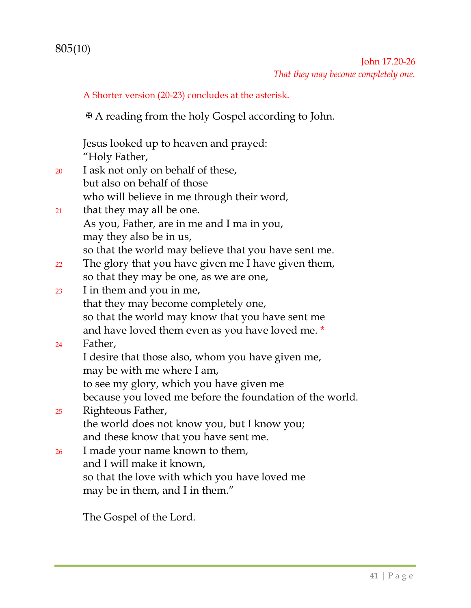### John 17.20-26 *That they may become completely one.*

A Shorter version (20-23) concludes at the asterisk.

✠A reading from the holy Gospel according to John.

Jesus looked up to heaven and prayed: "Holy Father,

- <sup>20</sup> I ask not only on behalf of these, but also on behalf of those who will believe in me through their word,
- <sup>21</sup> that they may all be one. As you, Father, are in me and I ma in you, may they also be in us, so that the world may believe that you have sent me.
- <sup>22</sup> The glory that you have given me I have given them, so that they may be one, as we are one,
- <sup>23</sup> I in them and you in me, that they may become completely one, so that the world may know that you have sent me and have loved them even as you have loved me. \*

### <sup>24</sup> Father,

- I desire that those also, whom you have given me, may be with me where I am,
- to see my glory, which you have given me
- because you loved me before the foundation of the world.
- <sup>25</sup> Righteous Father, the world does not know you, but I know you; and these know that you have sent me.
- <sup>26</sup> I made your name known to them, and I will make it known, so that the love with which you have loved me may be in them, and I in them."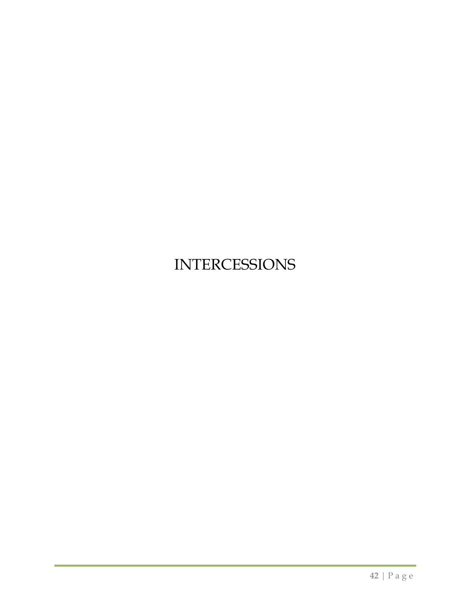# INTERCESSIONS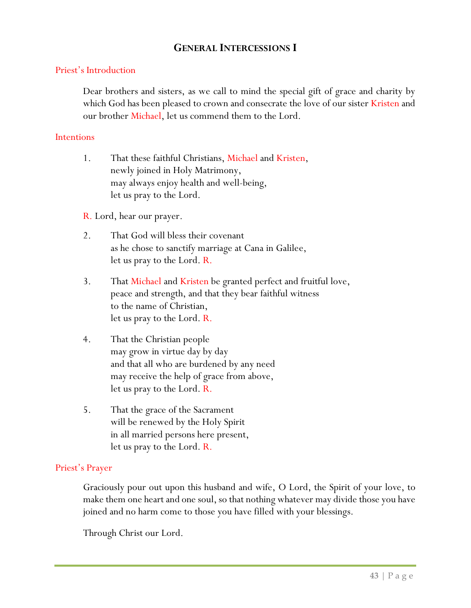#### **GENERAL INTERCESSIONS I**

#### Priest's Introduction

Dear brothers and sisters, as we call to mind the special gift of grace and charity by which God has been pleased to crown and consecrate the love of our sister Kristen and our brother Michael, let us commend them to the Lord.

#### **Intentions**

1. That these faithful Christians, Michael and Kristen, newly joined in Holy Matrimony, may always enjoy health and well-being, let us pray to the Lord.

R. Lord, hear our prayer.

- 2. That God will bless their covenant as he chose to sanctify marriage at Cana in Galilee, let us pray to the Lord. R.
- 3. That Michael and Kristen be granted perfect and fruitful love, peace and strength, and that they bear faithful witness to the name of Christian, let us pray to the Lord. R.
- 4. That the Christian people may grow in virtue day by day and that all who are burdened by any need may receive the help of grace from above, let us pray to the Lord. R.
- 5. That the grace of the Sacrament will be renewed by the Holy Spirit in all married persons here present, let us pray to the Lord. R.

#### Priest's Prayer

Graciously pour out upon this husband and wife, O Lord, the Spirit of your love, to make them one heart and one soul, so that nothing whatever may divide those you have joined and no harm come to those you have filled with your blessings.

Through Christ our Lord.